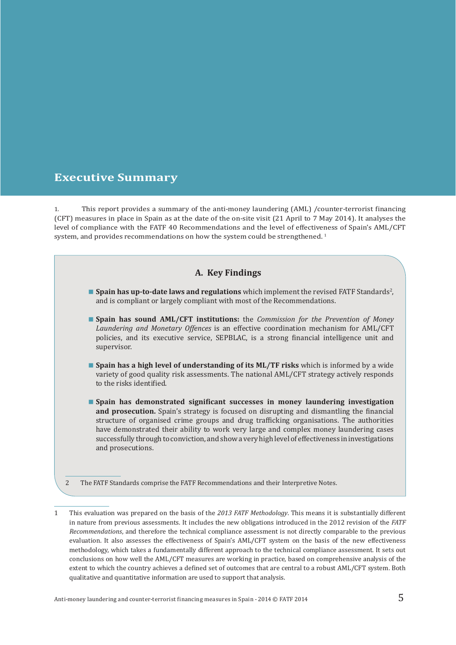## **Executive Summary**

1. This report provides a summary of the anti-money laundering (AML) /counter-terrorist financing (CFT) measures in place in Spain as at the date of the on-site visit (21 April to 7 May 2014). It analyses the level of compliance with the FATF 40 Recommendations and the level of effectiveness of Spain's AML/CFT system, and provides recommendations on how the system could be strengthened.<sup>1</sup>

### **A. Key Findings**

- **Spain has up-to-date laws and regulations** which implement the revised FATF Standards<sup>2</sup>, and is compliant or largely compliant with most of the Recommendations.
- **Spain has sound AML/CFT institutions:** the *Commission for the Prevention of Money Laundering and Monetary Offences* is an effective coordination mechanism for AML/CFT policies, and its executive service, SEPBLAC, is a strong financial intelligence unit and supervisor.
- **Spain has a high level of understanding of its ML/TF risks** which is informed by a wide variety of good quality risk assessments. The national AML/CFT strategy actively responds to the risks identified.
- **Spain has demonstrated significant successes in money laundering investigation and prosecution.** Spain's strategy is focused on disrupting and dismantling the financial structure of organised crime groups and drug trafficking organisations. The authorities have demonstrated their ability to work very large and complex money laundering cases successfully through to conviction, and show a very high level of effectiveness in investigations and prosecutions.

2 The FATF Standards comprise the FATF Recommendations and their Interpretive Notes.

1 This evaluation was prepared on the basis of the *2013 FATF Methodology*. This means it is substantially different in nature from previous assessments. It includes the new obligations introduced in the 2012 revision of the *FATF Recommendations*, and therefore the technical compliance assessment is not directly comparable to the previous evaluation. It also assesses the effectiveness of Spain's AML/CFT system on the basis of the new effectiveness methodology, which takes a fundamentally different approach to the technical compliance assessment. It sets out conclusions on how well the AML/CFT measures are working in practice, based on comprehensive analysis of the extent to which the country achieves a defined set of outcomes that are central to a robust AML/CFT system. Both qualitative and quantitative information are used to support that analysis.

Anti-money laundering and counter-terrorist financing measures in Spain - 2014 © FATF 2014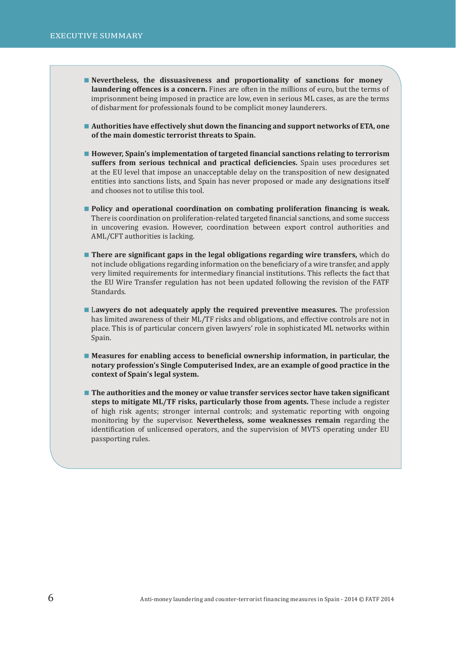- **Nevertheless, the dissuasiveness and proportionality of sanctions for money laundering offences is a concern.** Fines are often in the millions of euro, but the terms of imprisonment being imposed in practice are low, even in serious ML cases, as are the terms of disbarment for professionals found to be complicit money launderers.
- **Authorities have effectively shut down the financing and support networks of ETA, one of the main domestic terrorist threats to Spain.**
- **However, Spain's implementation of targeted financial sanctions relating to terrorism suffers from serious technical and practical deficiencies.** Spain uses procedures set at the EU level that impose an unacceptable delay on the transposition of new designated entities into sanctions lists, and Spain has never proposed or made any designations itself and chooses not to utilise this tool.
- **Policy and operational coordination on combating proliferation financing is weak.** There is coordination on proliferation-related targeted financial sanctions, and some success in uncovering evasion. However, coordination between export control authorities and AML/CFT authorities is lacking.
- **There are significant gaps in the legal obligations regarding wire transfers,** which do not include obligations regarding information on the beneficiary of a wire transfer, and apply very limited requirements for intermediary financial institutions. This reflects the fact that the EU Wire Transfer regulation has not been updated following the revision of the FATF Standards.
- L**awyers do not adequately apply the required preventive measures.** The profession has limited awareness of their ML/TF risks and obligations, and effective controls are not in place. This is of particular concern given lawyers' role in sophisticated ML networks within Spain.
- Measures for enabling access to beneficial ownership information, in particular, the **notary profession's Single Computerised Index, are an example of good practice in the context of Spain's legal system.**
- The authorities and the money or value transfer services sector have taken significant **steps to mitigate ML/TF risks, particularly those from agents.** These include a register of high risk agents; stronger internal controls; and systematic reporting with ongoing monitoring by the supervisor. **Nevertheless, some weaknesses remain** regarding the identification of unlicensed operators, and the supervision of MVTS operating under EU passporting rules.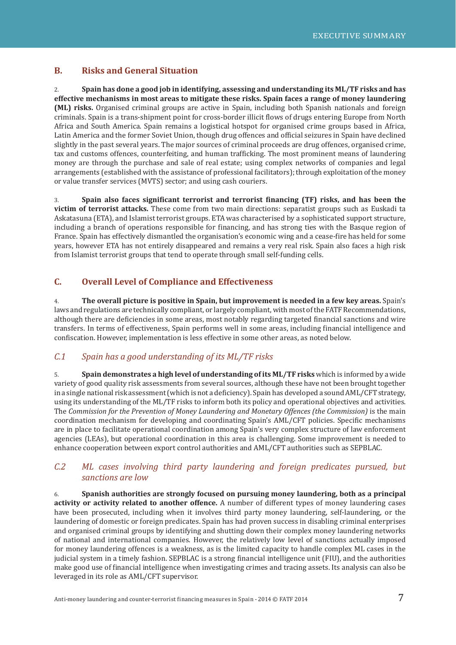### **B. Risks and General Situation**

2. **Spain has done a good job in identifying, assessing and understanding its ML/TF risks and has effective mechanisms in most areas to mitigate these risks. Spain faces a range of money laundering (ML) risks.** Organised criminal groups are active in Spain, including both Spanish nationals and foreign criminals. Spain is a trans-shipment point for cross-border illicit flows of drugs entering Europe from North Africa and South America. Spain remains a logistical hotspot for organised crime groups based in Africa, Latin America and the former Soviet Union, though drug offences and official seizures in Spain have declined slightly in the past several years. The major sources of criminal proceeds are drug offences, organised crime, tax and customs offences, counterfeiting, and human trafficking. The most prominent means of laundering money are through the purchase and sale of real estate; using complex networks of companies and legal arrangements (established with the assistance of professional facilitators); through exploitation of the money or value transfer services (MVTS) sector; and using cash couriers.

3. **Spain also faces signiϐicant terrorist and terrorist ϐinancing (TF) risks, and has been the victim of terrorist attacks.** These come from two main directions: separatist groups such as Euskadi ta Askatasuna (ETA), and Islamist terrorist groups. ETA was characterised by a sophisticated support structure, including a branch of operations responsible for financing, and has strong ties with the Basque region of France. Spain has effectively dismantled the organisation's economic wing and a cease-fire has held for some years, however ETA has not entirely disappeared and remains a very real risk. Spain also faces a high risk from Islamist terrorist groups that tend to operate through small self-funding cells.

### **C. Overall Level of Compliance and Effectiveness**

4. **The overall picture is positive in Spain, but improvement is needed in a few key areas.** Spain's laws and regulations are technically compliant, or largely compliant, with most of the FATF Recommendations, although there are deficiencies in some areas, most notably regarding targeted financial sanctions and wire transfers. In terms of effectiveness, Spain performs well in some areas, including financial intelligence and confiscation. However, implementation is less effective in some other areas, as noted below.

### *C.1 Spain has a good understanding of its ML/TF risks*

5. **Spain demonstrates a high level of understanding of its ML/TF risks** which is informed by a wide variety of good quality risk assessments from several sources, although these have not been brought together in a single national risk assessment (which is not a deficiency). Spain has developed a sound AML/CFT strategy, using its understanding of the ML/TF risks to inform both its policy and operational objectives and activities. The *Commission for the Prevention of Money Laundering and Monetary Offences (the Commission)* is the main coordination mechanism for developing and coordinating Spain's AML/CFT policies. Specific mechanisms are in place to facilitate operational coordination among Spain's very complex structure of law enforcement agencies (LEAs), but operational coordination in this area is challenging. Some improvement is needed to enhance cooperation between export control authorities and AML/CFT authorities such as SEPBLAC.

### *C.2 ML cases involving third party laundering and foreign predicates pursued, but sanctions are low*

6. **Spanish authorities are strongly focused on pursuing money laundering, both as a principal activity or activity related to another offence.** A number of different types of money laundering cases have been prosecuted, including when it involves third party money laundering, self-laundering, or the laundering of domestic or foreign predicates. Spain has had proven success in disabling criminal enterprises and organised criminal groups by identifying and shutting down their complex money laundering networks of national and international companies. However, the relatively low level of sanctions actually imposed for money laundering offences is a weakness, as is the limited capacity to handle complex ML cases in the judicial system in a timely fashion. SEPBLAC is a strong financial intelligence unit (FIU), and the authorities make good use of financial intelligence when investigating crimes and tracing assets. Its analysis can also be leveraged in its role as AML/CFT supervisor.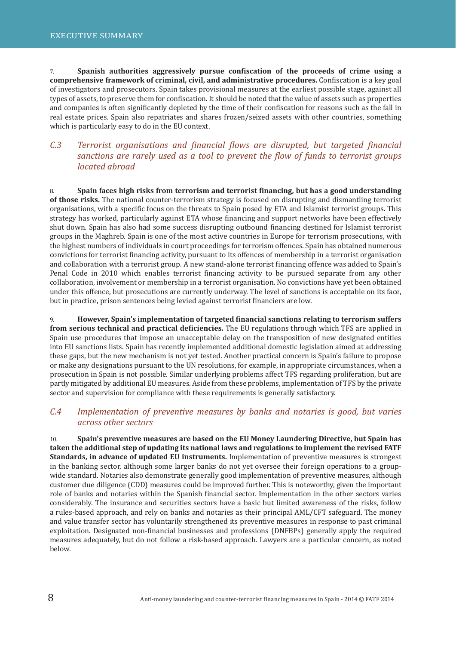7. **Spanish authorities aggressively pursue confiscation of the proceeds of crime using a comprehensive framework of criminal, civil, and administrative procedures.** Confiscation is a key goal of investigators and prosecutors. Spain takes provisional measures at the earliest possible stage, against all types of assets, to preserve them for confiscation. It should be noted that the value of assets such as properties and companies is often significantly depleted by the time of their confiscation for reasons such as the fall in real estate prices. Spain also repatriates and shares frozen/seized assets with other countries, something which is particularly easy to do in the EU context.

### *C.3 Terrorist organisations and financial flows are disrupted, but targeted financial sanctions are rarely used as a tool to prevent the flow of funds to terrorist groups located abroad*

8. **Spain faces high risks from terrorism and terrorist financing, but has a good understanding <b>Spain of those risks.** The national counter-terrorism strategy is focused on disrupting and dismantling terrorist organisations, with a specific focus on the threats to Spain posed by ETA and Islamist terrorist groups. This strategy has worked, particularly against ETA whose financing and support networks have been effectively shut down. Spain has also had some success disrupting outbound financing destined for Islamist terrorist groups in the Maghreb. Spain is one of the most active countries in Europe for terrorism prosecutions, with the highest numbers of individuals in court proceedings for terrorism offences. Spain has obtained numerous convictions for terrorist financing activity, pursuant to its offences of membership in a terrorist organisation and collaboration with a terrorist group. A new stand-alone terrorist financing offence was added to Spain's Penal Code in 2010 which enables terrorist financing activity to be pursued separate from any other collaboration, involvement or membership in a terrorist organisation. No convictions have yet been obtained under this offence, but prosecutions are currently underway. The level of sanctions is acceptable on its face, but in practice, prison sentences being levied against terrorist financiers are low.

9. **However, Spain's implementation of targeted ϐinancial sanctions relating to terrorism suffers**  from serious technical and practical deficiencies. The EU regulations through which TFS are applied in Spain use procedures that impose an unacceptable delay on the transposition of new designated entities into EU sanctions lists. Spain has recently implemented additional domestic legislation aimed at addressing these gaps, but the new mechanism is not yet tested. Another practical concern is Spain's failure to propose or make any designations pursuant to the UN resolutions, for example, in appropriate circumstances, when a prosecution in Spain is not possible. Similar underlying problems affect TFS regarding proliferation, but are partly mitigated by additional EU measures. Aside from these problems, implementation of TFS by the private sector and supervision for compliance with these requirements is generally satisfactory.

### *C.4 Implementation of preventive measures by banks and notaries is good, but varies across other sectors*

10. **Spain's preventive measures are based on the EU Money Laundering Directive, but Spain has taken the additional step of updating its national laws and regulations to implement the revised FATF Standards, in advance of updated EU instruments.** Implementation of preventive measures is strongest in the banking sector, although some larger banks do not yet oversee their foreign operations to a groupwide standard. Notaries also demonstrate generally good implementation of preventive measures, although customer due diligence (CDD) measures could be improved further. This is noteworthy, given the important role of banks and notaries within the Spanish financial sector. Implementation in the other sectors varies considerably. The insurance and securities sectors have a basic but limited awareness of the risks, follow a rules-based approach, and rely on banks and notaries as their principal AML/CFT safeguard. The money and value transfer sector has voluntarily strengthened its preventive measures in response to past criminal exploitation. Designated non-financial businesses and professions (DNFBPs) generally apply the required measures adequately, but do not follow a risk-based approach. Lawyers are a particular concern, as noted below.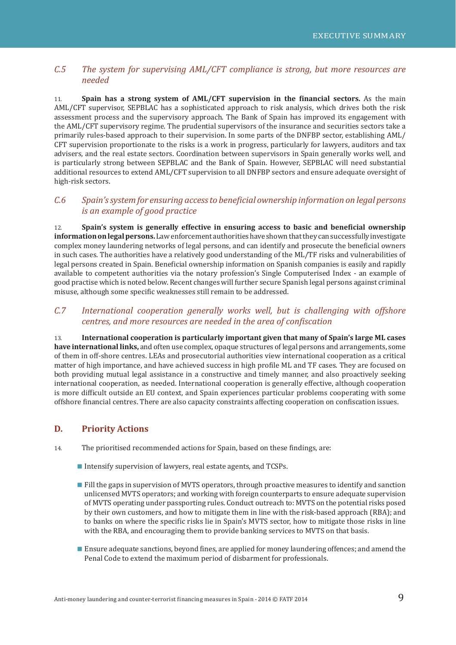### *C.5 The system for supervising AML/CFT compliance is strong, but more resources are needed*

11. **Spain has a strong system of AML/CFT supervision in the financial sectors.** As the main AML/CFT supervisor, SEPBLAC has a sophisticated approach to risk analysis, which drives both the risk assessment process and the supervisory approach. The Bank of Spain has improved its engagement with the AML/CFT supervisory regime. The prudential supervisors of the insurance and securities sectors take a primarily rules-based approach to their supervision. In some parts of the DNFBP sector, establishing AML/ CFT supervision proportionate to the risks is a work in progress, particularly for lawyers, auditors and tax advisers, and the real estate sectors. Coordination between supervisors in Spain generally works well, and is particularly strong between SEPBLAC and the Bank of Spain. However, SEPBLAC will need substantial additional resources to extend AML/CFT supervision to all DNFBP sectors and ensure adequate oversight of high-risk sectors.

### *C.6 Spain's system for ensuring access to beneficial ownership information on legal persons is an example of good practice*

12. **Spain's system is generally effective in ensuring access to basic and beneficial ownership information on legal persons.** Law enforcement authorities have shown that they can successfully investigate complex money laundering networks of legal persons, and can identify and prosecute the beneficial owners in such cases. The authorities have a relatively good understanding of the ML/TF risks and vulnerabilities of legal persons created in Spain. Beneficial ownership information on Spanish companies is easily and rapidly available to competent authorities via the notary profession's Single Computerised Index - an example of good practise which is noted below. Recent changes will further secure Spanish legal persons against criminal misuse, although some specific weaknesses still remain to be addressed.

### *C.7 International cooperation generally works well, but is challenging with offshore centres, and more resources are needed in the area of conϔiscation*

13. **International cooperation is particularly important given that many of Spain's large ML cases have international links,** and often use complex, opaque structures of legal persons and arrangements, some of them in off-shore centres. LEAs and prosecutorial authorities view international cooperation as a critical matter of high importance, and have achieved success in high profile ML and TF cases. They are focused on both providing mutual legal assistance in a constructive and timely manner, and also proactively seeking international cooperation, as needed. International cooperation is generally effective, although cooperation is more difficult outside an EU context, and Spain experiences particular problems cooperating with some offshore financial centres. There are also capacity constraints affecting cooperation on confiscation issues.

### **D. Priority Actions**

- 14. The prioritised recommended actions for Spain, based on these findings, are:
	- Intensify supervision of lawyers, real estate agents, and TCSPs.
	- **Fill the gaps in supervision of MVTS operators, through proactive measures to identify and sanction** unlicensed MVTS operators; and working with foreign counterparts to ensure adequate supervision of MVTS operating under passporting rules. Conduct outreach to: MVTS on the potential risks posed by their own customers, and how to mitigate them in line with the risk-based approach (RBA); and to banks on where the specific risks lie in Spain's MVTS sector, how to mitigate those risks in line with the RBA, and encouraging them to provide banking services to MVTS on that basis.
	- Ensure adequate sanctions, beyond fines, are applied for money laundering offences; and amend the Penal Code to extend the maximum period of disbarment for professionals.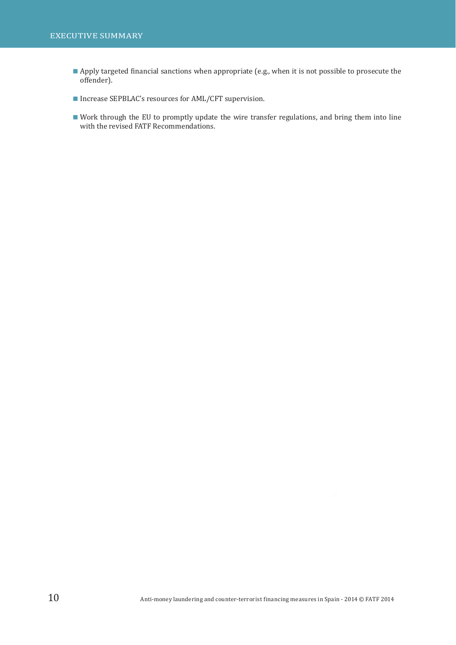- Apply targeted financial sanctions when appropriate (e.g., when it is not possible to prosecute the offender).
- Increase SEPBLAC's resources for AML/CFT supervision.
- Work through the EU to promptly update the wire transfer regulations, and bring them into line with the revised FATF Recommendations.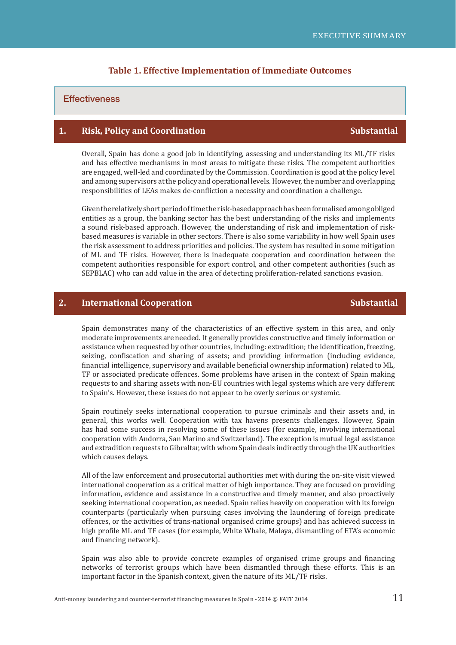#### **Table 1. Effective Implementation of Immediate Outcomes**

#### **Effectiveness**

### **1.** Risk, Policy and Coordination Substantial Substantial

Overall, Spain has done a good job in identifying, assessing and understanding its ML/TF risks and has effective mechanisms in most areas to mitigate these risks. The competent authorities are engaged, well-led and coordinated by the Commission. Coordination is good at the policy level and among supervisors at the policy and operational levels. However, the number and overlapping responsibilities of LEAs makes de-confliction a necessity and coordination a challenge.

Given the relatively short period of time the risk-based approach has been formalised among obliged entities as a group, the banking sector has the best understanding of the risks and implements a sound risk-based approach. However, the understanding of risk and implementation of riskbased measures is variable in other sectors. There is also some variability in how well Spain uses the risk assessment to address priorities and policies. The system has resulted in some mitigation of ML and TF risks. However, there is inadequate cooperation and coordination between the competent authorities responsible for export control, and other competent authorities (such as SEPBLAC) who can add value in the area of detecting proliferation-related sanctions evasion.

#### **2.** International Cooperation Substantial Substantial Substantial

Spain demonstrates many of the characteristics of an effective system in this area, and only moderate improvements are needed. It generally provides constructive and timely information or assistance when requested by other countries, including: extradition; the identification, freezing, seizing, confiscation and sharing of assets; and providing information (including evidence, financial intelligence, supervisory and available beneficial ownership information) related to ML. TF or associated predicate offences. Some problems have arisen in the context of Spain making requests to and sharing assets with non-EU countries with legal systems which are very different to Spain's. However, these issues do not appear to be overly serious or systemic.

Spain routinely seeks international cooperation to pursue criminals and their assets and, in general, this works well. Cooperation with tax havens presents challenges. However, Spain has had some success in resolving some of these issues (for example, involving international cooperation with Andorra, San Marino and Switzerland). The exception is mutual legal assistance and extradition requests to Gibraltar, with whom Spain deals indirectly through the UK authorities which causes delays.

All of the law enforcement and prosecutorial authorities met with during the on-site visit viewed international cooperation as a critical matter of high importance. They are focused on providing information, evidence and assistance in a constructive and timely manner, and also proactively seeking international cooperation, as needed. Spain relies heavily on cooperation with its foreign counterparts (particularly when pursuing cases involving the laundering of foreign predicate offences, or the activities of trans-national organised crime groups) and has achieved success in high profile ML and TF cases (for example, White Whale, Malaya, dismantling of ETA's economic and financing network).

Spain was also able to provide concrete examples of organised crime groups and financing networks of terrorist groups which have been dismantled through these efforts. This is an important factor in the Spanish context, given the nature of its ML/TF risks.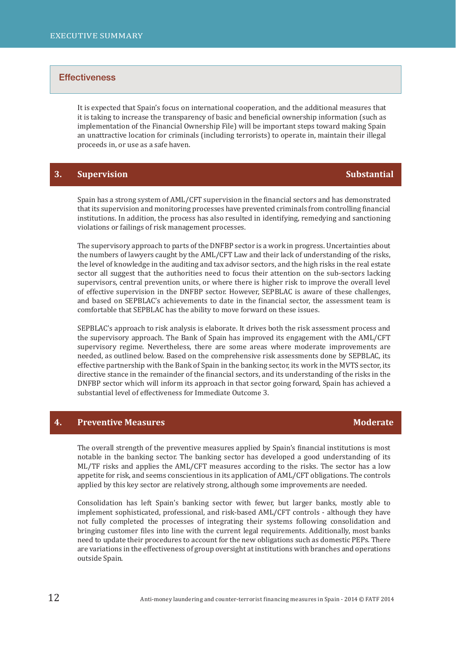It is expected that Spain's focus on international cooperation, and the additional measures that it is taking to increase the transparency of basic and beneficial ownership information (such as implementation of the Financial Ownership File) will be important steps toward making Spain an unattractive location for criminals (including terrorists) to operate in, maintain their illegal proceeds in, or use as a safe haven.

### **3.** Supervision Substantial

Spain has a strong system of AML/CFT supervision in the financial sectors and has demonstrated that its supervision and monitoring processes have prevented criminals from controlling financial institutions. In addition, the process has also resulted in identifying, remedying and sanctioning violations or failings of risk management processes.

The supervisory approach to parts of the DNFBP sector is a work in progress. Uncertainties about the numbers of lawyers caught by the AML/CFT Law and their lack of understanding of the risks, the level of knowledge in the auditing and tax advisor sectors, and the high risks in the real estate sector all suggest that the authorities need to focus their attention on the sub-sectors lacking supervisors, central prevention units, or where there is higher risk to improve the overall level of effective supervision in the DNFBP sector. However, SEPBLAC is aware of these challenges, and based on SEPBLAC's achievements to date in the financial sector, the assessment team is comfortable that SEPBLAC has the ability to move forward on these issues.

SEPBLAC's approach to risk analysis is elaborate. It drives both the risk assessment process and the supervisory approach. The Bank of Spain has improved its engagement with the AML/CFT supervisory regime. Nevertheless, there are some areas where moderate improvements are needed, as outlined below. Based on the comprehensive risk assessments done by SEPBLAC, its effective partnership with the Bank of Spain in the banking sector, its work in the MVTS sector, its directive stance in the remainder of the financial sectors, and its understanding of the risks in the DNFBP sector which will inform its approach in that sector going forward, Spain has achieved a substantial level of effectiveness for Immediate Outcome 3.

### **4. Preventive Measures Moderate State According to the Moderate Moderate**

The overall strength of the preventive measures applied by Spain's financial institutions is most notable in the banking sector. The banking sector has developed a good understanding of its ML/TF risks and applies the AML/CFT measures according to the risks. The sector has a low appetite for risk, and seems conscientious in its application of AML/CFT obligations. The controls applied by this key sector are relatively strong, although some improvements are needed.

Consolidation has left Spain's banking sector with fewer, but larger banks, mostly able to implement sophisticated, professional, and risk-based AML/CFT controls - although they have not fully completed the processes of integrating their systems following consolidation and bringing customer files into line with the current legal requirements. Additionally, most banks need to update their procedures to account for the new obligations such as domestic PEPs. There are variations in the effectiveness of group oversight at institutions with branches and operations outside Spain.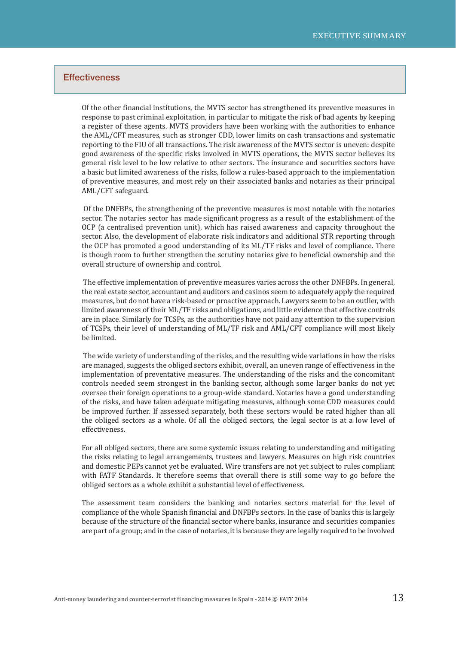Of the other ϐinancial institutions, the MVTS sector has strengthened its preventive measures in response to past criminal exploitation, in particular to mitigate the risk of bad agents by keeping a register of these agents. MVTS providers have been working with the authorities to enhance the AML/CFT measures, such as stronger CDD, lower limits on cash transactions and systematic reporting to the FIU of all transactions. The risk awareness of the MVTS sector is uneven: despite good awareness of the specific risks involved in MVTS operations, the MVTS sector believes its general risk level to be low relative to other sectors. The insurance and securities sectors have a basic but limited awareness of the risks, follow a rules-based approach to the implementation of preventive measures, and most rely on their associated banks and notaries as their principal AML/CFT safeguard.

 Of the DNFBPs, the strengthening of the preventive measures is most notable with the notaries sector. The notaries sector has made significant progress as a result of the establishment of the OCP (a centralised prevention unit), which has raised awareness and capacity throughout the sector. Also, the development of elaborate risk indicators and additional STR reporting through the OCP has promoted a good understanding of its ML/TF risks and level of compliance. There is though room to further strengthen the scrutiny notaries give to beneficial ownership and the overall structure of ownership and control.

 The effective implementation of preventive measures varies across the other DNFBPs. In general, the real estate sector, accountant and auditors and casinos seem to adequately apply the required measures, but do not have a risk-based or proactive approach. Lawyers seem to be an outlier, with limited awareness of their ML/TF risks and obligations, and little evidence that effective controls are in place. Similarly for TCSPs, as the authorities have not paid any attention to the supervision of TCSPs, their level of understanding of ML/TF risk and AML/CFT compliance will most likely be limited.

 The wide variety of understanding of the risks, and the resulting wide variations in how the risks are managed, suggests the obliged sectors exhibit, overall, an uneven range of effectiveness in the implementation of preventative measures. The understanding of the risks and the concomitant controls needed seem strongest in the banking sector, although some larger banks do not yet oversee their foreign operations to a group-wide standard. Notaries have a good understanding of the risks, and have taken adequate mitigating measures, although some CDD measures could be improved further. If assessed separately, both these sectors would be rated higher than all the obliged sectors as a whole. Of all the obliged sectors, the legal sector is at a low level of effectiveness.

For all obliged sectors, there are some systemic issues relating to understanding and mitigating the risks relating to legal arrangements, trustees and lawyers. Measures on high risk countries and domestic PEPs cannot yet be evaluated. Wire transfers are not yet subject to rules compliant with FATF Standards. It therefore seems that overall there is still some way to go before the obliged sectors as a whole exhibit a substantial level of effectiveness.

The assessment team considers the banking and notaries sectors material for the level of compliance of the whole Spanish financial and DNFBPs sectors. In the case of banks this is largely because of the structure of the financial sector where banks, insurance and securities companies are part of a group; and in the case of notaries, it is because they are legally required to be involved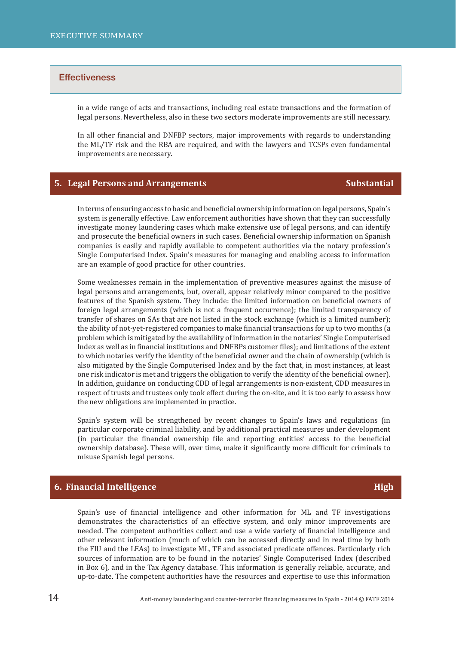in a wide range of acts and transactions, including real estate transactions and the formation of legal persons. Nevertheless, also in these two sectors moderate improvements are still necessary.

In all other financial and DNFBP sectors, major improvements with regards to understanding the ML/TF risk and the RBA are required, and with the lawyers and TCSPs even fundamental improvements are necessary.

#### **5. Legal Persons and Arrangements Substantial**

In terms of ensuring access to basic and beneficial ownership information on legal persons, Spain's system is generally effective. Law enforcement authorities have shown that they can successfully investigate money laundering cases which make extensive use of legal persons, and can identify and prosecute the beneficial owners in such cases. Beneficial ownership information on Spanish companies is easily and rapidly available to competent authorities via the notary profession's Single Computerised Index. Spain's measures for managing and enabling access to information are an example of good practice for other countries.

Some weaknesses remain in the implementation of preventive measures against the misuse of legal persons and arrangements, but, overall, appear relatively minor compared to the positive features of the Spanish system. They include: the limited information on beneficial owners of foreign legal arrangements (which is not a frequent occurrence); the limited transparency of transfer of shares on SAs that are not listed in the stock exchange (which is a limited number); the ability of not-yet-registered companies to make financial transactions for up to two months (a problem which is mitigated by the availability of information in the notaries' Single Computerised Index as well as in financial institutions and DNFBPs customer files); and limitations of the extent to which notaries verify the identity of the beneficial owner and the chain of ownership (which is also mitigated by the Single Computerised Index and by the fact that, in most instances, at least one risk indicator is met and triggers the obligation to verify the identity of the beneficial owner). In addition, guidance on conducting CDD of legal arrangements is non-existent, CDD measures in respect of trusts and trustees only took effect during the on-site, and it is too early to assess how the new obligations are implemented in practice.

Spain's system will be strengthened by recent changes to Spain's laws and regulations (in particular corporate criminal liability, and by additional practical measures under development (in particular the financial ownership file and reporting entities' access to the beneficial ownership database). These will, over time, make it significantly more difficult for criminals to misuse Spanish legal persons.

#### **6. Financial Intelligence High High High High High High**

Spain's use of financial intelligence and other information for ML and TF investigations demonstrates the characteristics of an effective system, and only minor improvements are needed. The competent authorities collect and use a wide variety of financial intelligence and other relevant information (much of which can be accessed directly and in real time by both the FIU and the LEAs) to investigate ML, TF and associated predicate offences. Particularly rich sources of information are to be found in the notaries' Single Computerised Index (described in Box 6), and in the Tax Agency database. This information is generally reliable, accurate, and up-to-date. The competent authorities have the resources and expertise to use this information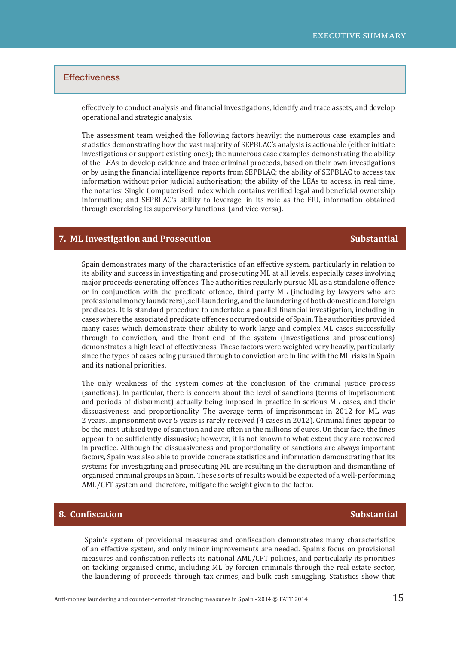effectively to conduct analysis and financial investigations, identify and trace assets, and develop operational and strategic analysis.

The assessment team weighed the following factors heavily: the numerous case examples and statistics demonstrating how the vast majority of SEPBLAC's analysis is actionable (either initiate investigations or support existing ones); the numerous case examples demonstrating the ability of the LEAs to develop evidence and trace criminal proceeds, based on their own investigations or by using the financial intelligence reports from SEPBLAC; the ability of SEPBLAC to access tax information without prior judicial authorisation; the ability of the LEAs to access, in real time, the notaries' Single Computerised Index which contains verified legal and beneficial ownership information; and SEPBLAC's ability to leverage, in its role as the FIU, information obtained through exercising its supervisory functions (and vice-versa).

#### **7. ML Investigation and Prosecution Substantial** Substantial

Spain demonstrates many of the characteristics of an effective system, particularly in relation to its ability and success in investigating and prosecuting ML at all levels, especially cases involving major proceeds-generating offences. The authorities regularly pursue ML as a standalone offence or in conjunction with the predicate offence, third party ML (including by lawyers who are professional money launderers), self-laundering, and the laundering of both domestic and foreign predicates. It is standard procedure to undertake a parallel financial investigation, including in cases where the associated predicate offences occurred outside of Spain. The authorities provided many cases which demonstrate their ability to work large and complex ML cases successfully through to conviction, and the front end of the system (investigations and prosecutions) demonstrates a high level of effectiveness. These factors were weighted very heavily, particularly since the types of cases being pursued through to conviction are in line with the ML risks in Spain and its national priorities.

The only weakness of the system comes at the conclusion of the criminal justice process (sanctions). In particular, there is concern about the level of sanctions (terms of imprisonment and periods of disbarment) actually being imposed in practice in serious ML cases, and their dissuasiveness and proportionality. The average term of imprisonment in 2012 for ML was 2 years. Imprisonment over 5 years is rarely received (4 cases in 2012). Criminal fines appear to be the most utilised type of sanction and are often in the millions of euros. On their face, the fines appear to be sufficiently dissuasive; however, it is not known to what extent they are recovered in practice. Although the dissuasiveness and proportionality of sanctions are always important factors, Spain was also able to provide concrete statistics and information demonstrating that its systems for investigating and prosecuting ML are resulting in the disruption and dismantling of organised criminal groups in Spain. These sorts of results would be expected of a well-performing AML/CFT system and, therefore, mitigate the weight given to the factor.

#### **8. Confiscation Substantial**

Spain's system of provisional measures and confiscation demonstrates many characteristics of an effective system, and only minor improvements are needed. Spain's focus on provisional measures and confiscation reflects its national AML/CFT policies, and particularly its priorities on tackling organised crime, including ML by foreign criminals through the real estate sector, the laundering of proceeds through tax crimes, and bulk cash smuggling. Statistics show that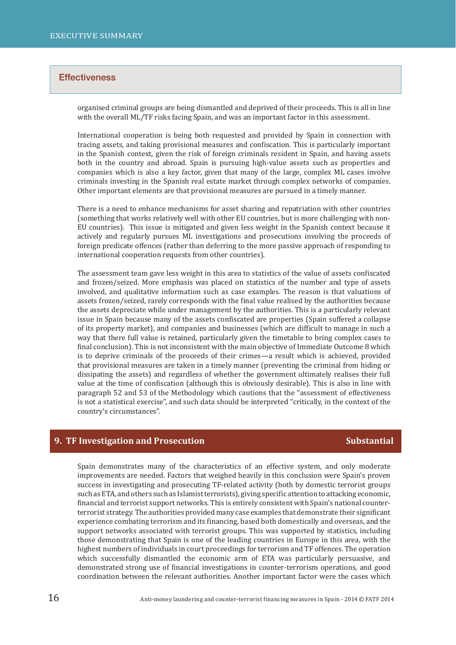organised criminal groups are being dismantled and deprived of their proceeds. This is all in line with the overall ML/TF risks facing Spain, and was an important factor in this assessment.

International cooperation is being both requested and provided by Spain in connection with tracing assets, and taking provisional measures and confiscation. This is particularly important in the Spanish context, given the risk of foreign criminals resident in Spain, and having assets both in the country and abroad. Spain is pursuing high-value assets such as properties and companies which is also a key factor, given that many of the large, complex ML cases involve criminals investing in the Spanish real estate market through complex networks of companies. Other important elements are that provisional measures are pursued in a timely manner.

There is a need to enhance mechanisms for asset sharing and repatriation with other countries (something that works relatively well with other EU countries, but is more challenging with non-EU countries). This issue is mitigated and given less weight in the Spanish context because it actively and regularly pursues ML investigations and prosecutions involving the proceeds of foreign predicate offences (rather than deferring to the more passive approach of responding to international cooperation requests from other countries).

The assessment team gave less weight in this area to statistics of the value of assets confiscated and frozen/seized. More emphasis was placed on statistics of the number and type of assets involved, and qualitative information such as case examples. The reason is that valuations of assets frozen/seized, rarely corresponds with the final value realised by the authorities because the assets depreciate while under management by the authorities. This is a particularly relevant issue in Spain because many of the assets confiscated are properties (Spain suffered a collapse of its property market), and companies and businesses (which are difficult to manage in such a way that there full value is retained, particularly given the timetable to bring complex cases to final conclusion). This is not inconsistent with the main objective of Immediate Outcome 8 which is to deprive criminals of the proceeds of their crimes—a result which is achieved, provided that provisional measures are taken in a timely manner (preventing the criminal from hiding or dissipating the assets) and regardless of whether the government ultimately realises their full value at the time of confiscation (although this is obviously desirable). This is also in line with paragraph 52 and 53 of the Methodology which cautions that the "assessment of effectiveness is not a statistical exercise", and such data should be interpreted "critically, in the context of the country's circumstances".

#### **9. TF Investigation and Prosecution Substantial** Substantial

Spain demonstrates many of the characteristics of an effective system, and only moderate improvements are needed. Factors that weighed heavily in this conclusion were Spain's proven success in investigating and prosecuting TF-related activity (both by domestic terrorist groups such as ETA, and others such as Islamist terrorists), giving specific attention to attacking economic, financial and terrorist support networks. This is entirely consistent with Spain's national counterterrorist strategy. The authorities provided many case examples that demonstrate their significant experience combating terrorism and its financing, based both domestically and overseas, and the support networks associated with terrorist groups. This was supported by statistics, including those demonstrating that Spain is one of the leading countries in Europe in this area, with the highest numbers of individuals in court proceedings for terrorism and TF offences. The operation which successfully dismantled the economic arm of ETA was particularly persuasive, and demonstrated strong use of financial investigations in counter-terrorism operations, and good coordination between the relevant authorities. Another important factor were the cases which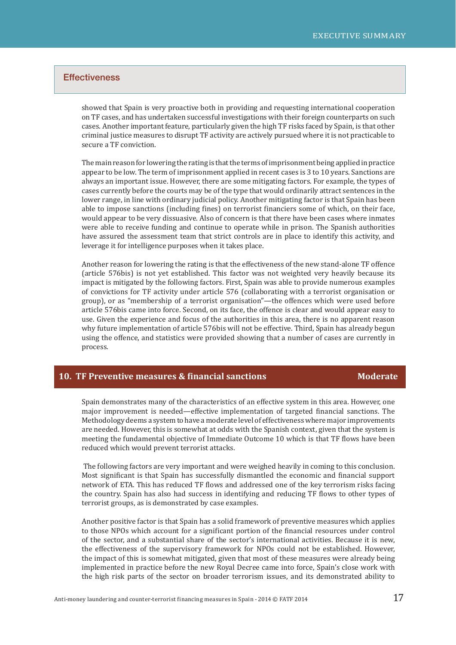showed that Spain is very proactive both in providing and requesting international cooperation on TF cases, and has undertaken successful investigations with their foreign counterparts on such cases. Another important feature, particularly given the high TF risks faced by Spain, is that other criminal justice measures to disrupt TF activity are actively pursued where it is not practicable to secure a TF conviction.

The main reason for lowering the rating is that the terms of imprisonment being applied in practice appear to be low. The term of imprisonment applied in recent cases is 3 to 10 years. Sanctions are always an important issue. However, there are some mitigating factors. For example, the types of cases currently before the courts may be of the type that would ordinarily attract sentences in the lower range, in line with ordinary judicial policy. Another mitigating factor is that Spain has been able to impose sanctions (including fines) on terrorist financiers some of which, on their face, would appear to be very dissuasive. Also of concern is that there have been cases where inmates were able to receive funding and continue to operate while in prison. The Spanish authorities have assured the assessment team that strict controls are in place to identify this activity, and leverage it for intelligence purposes when it takes place.

Another reason for lowering the rating is that the effectiveness of the new stand-alone TF offence (article 576bis) is not yet established. This factor was not weighted very heavily because its impact is mitigated by the following factors. First, Spain was able to provide numerous examples of convictions for TF activity under article 576 (collaborating with a terrorist organisation or group), or as "membership of a terrorist organisation"—the offences which were used before article 576bis came into force. Second, on its face, the offence is clear and would appear easy to use. Given the experience and focus of the authorities in this area, there is no apparent reason why future implementation of article 576bis will not be effective. Third, Spain has already begun using the offence, and statistics were provided showing that a number of cases are currently in process.

#### **10. TF Preventive measures & financial sanctions Moderate Moderate**

Spain demonstrates many of the characteristics of an effective system in this area. However, one major improvement is needed—effective implementation of targeted financial sanctions. The Methodology deems a system to have a moderate level of effectiveness where major improvements are needed. However, this is somewhat at odds with the Spanish context, given that the system is meeting the fundamental objective of Immediate Outcome 10 which is that TF flows have been reduced which would prevent terrorist attacks.

 The following factors are very important and were weighed heavily in coming to this conclusion. Most significant is that Spain has successfully dismantled the economic and financial support network of ETA. This has reduced TF flows and addressed one of the key terrorism risks facing the country. Spain has also had success in identifying and reducing TF flows to other types of terrorist groups, as is demonstrated by case examples.

Another positive factor is that Spain has a solid framework of preventive measures which applies to those NPOs which account for a significant portion of the financial resources under control of the sector, and a substantial share of the sector's international activities. Because it is new, the effectiveness of the supervisory framework for NPOs could not be established. However, the impact of this is somewhat mitigated, given that most of these measures were already being implemented in practice before the new Royal Decree came into force, Spain's close work with the high risk parts of the sector on broader terrorism issues, and its demonstrated ability to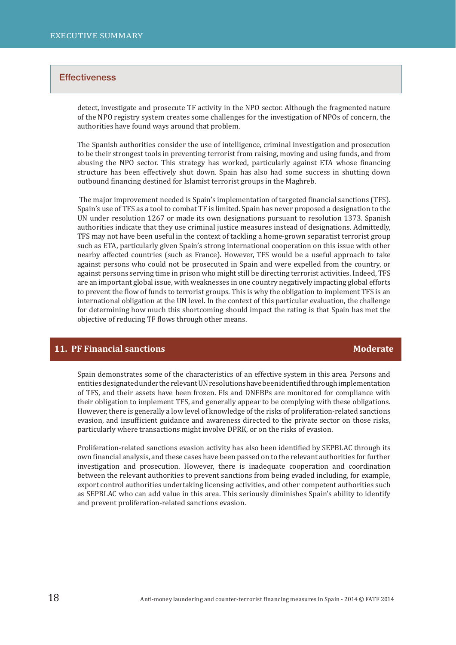detect, investigate and prosecute TF activity in the NPO sector. Although the fragmented nature of the NPO registry system creates some challenges for the investigation of NPOs of concern, the authorities have found ways around that problem.

The Spanish authorities consider the use of intelligence, criminal investigation and prosecution to be their strongest tools in preventing terrorist from raising, moving and using funds, and from abusing the NPO sector. This strategy has worked, particularly against ETA whose financing structure has been effectively shut down. Spain has also had some success in shutting down outbound financing destined for Islamist terrorist groups in the Maghreb.

The major improvement needed is Spain's implementation of targeted financial sanctions (TFS). Spain's use of TFS as a tool to combat TF is limited. Spain has never proposed a designation to the UN under resolution 1267 or made its own designations pursuant to resolution 1373. Spanish authorities indicate that they use criminal justice measures instead of designations. Admittedly, TFS may not have been useful in the context of tackling a home-grown separatist terrorist group such as ETA, particularly given Spain's strong international cooperation on this issue with other nearby affected countries (such as France). However, TFS would be a useful approach to take against persons who could not be prosecuted in Spain and were expelled from the country, or against persons serving time in prison who might still be directing terrorist activities. Indeed, TFS are an important global issue, with weaknesses in one country negatively impacting global efforts to prevent the flow of funds to terrorist groups. This is why the obligation to implement TFS is an international obligation at the UN level. In the context of this particular evaluation, the challenge for determining how much this shortcoming should impact the rating is that Spain has met the objective of reducing TF flows through other means.

#### **11. PF Financial sanctions Moderate**

Spain demonstrates some of the characteristics of an effective system in this area. Persons and entities designated under the relevant UN resolutions have been identified through implementation of TFS, and their assets have been frozen. FIs and DNFBPs are monitored for compliance with their obligation to implement TFS, and generally appear to be complying with these obligations. However, there is generally a low level of knowledge of the risks of proliferation-related sanctions evasion, and insufficient guidance and awareness directed to the private sector on those risks, particularly where transactions might involve DPRK, or on the risks of evasion.

Proliferation-related sanctions evasion activity has also been identified by SEPBLAC through its own financial analysis, and these cases have been passed on to the relevant authorities for further investigation and prosecution. However, there is inadequate cooperation and coordination between the relevant authorities to prevent sanctions from being evaded including, for example, export control authorities undertaking licensing activities, and other competent authorities such as SEPBLAC who can add value in this area. This seriously diminishes Spain's ability to identify and prevent proliferation-related sanctions evasion.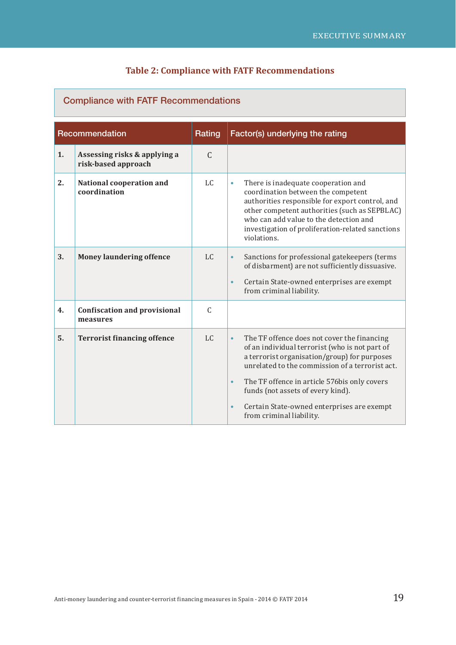#### **Table 2: Compliance with FATF Recommendations**

## **Recommendation Rating Factor(s)** underlying the rating **1. Assessing risks & applying a risk-based approach**   $\mathcal{C}$ **2. National cooperation and coordination** LC **•** There is inadequate cooperation and coordination between the competent authorities responsible for export control, and other competent authorities (such as SEPBLAC) who can add value to the detection and investigation of proliferation-related sanctions violations. **3.** Money laundering offence LC **•** Sanctions for professional gatekeepers (terms of disbarment) are not sufficiently dissuasive. **•** Certain State-owned enterprises are exempt from criminal liability. **4.** Confiscation and provisional **measures**  $\overline{C}$ **5.** Terrorist **financing offence** LC **•** The TF offence does not cover the financing of an individual terrorist (who is not part of a terrorist organisation/group) for purposes unrelated to the commission of a terrorist act. **•** The TF offence in article 576bis only covers funds (not assets of every kind). **•** Certain State-owned enterprises are exempt from criminal liability.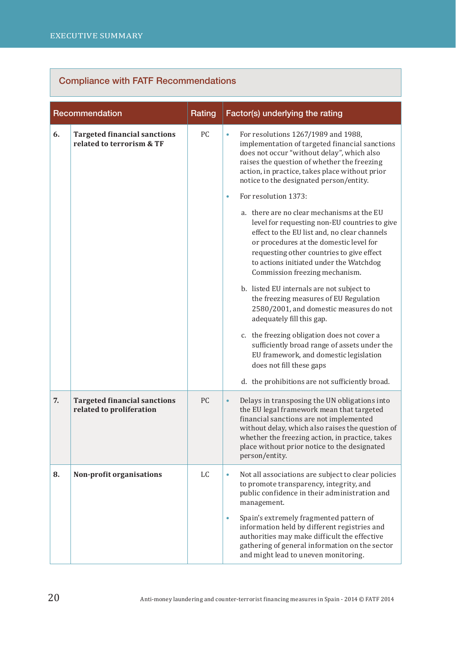|    | Recommendation                                                   | Rating | Factor(s) underlying the rating                                                                                                                                                                                                                                                                                             |
|----|------------------------------------------------------------------|--------|-----------------------------------------------------------------------------------------------------------------------------------------------------------------------------------------------------------------------------------------------------------------------------------------------------------------------------|
| 6. | <b>Targeted financial sanctions</b><br>related to terrorism & TF | PC     | For resolutions 1267/1989 and 1988,<br>۰<br>implementation of targeted financial sanctions<br>does not occur "without delay", which also<br>raises the question of whether the freezing<br>action, in practice, takes place without prior<br>notice to the designated person/entity.                                        |
|    |                                                                  |        | For resolution 1373:<br>$\bullet$                                                                                                                                                                                                                                                                                           |
|    |                                                                  |        | a. there are no clear mechanisms at the EU<br>level for requesting non-EU countries to give<br>effect to the EU list and, no clear channels<br>or procedures at the domestic level for<br>requesting other countries to give effect<br>to actions initiated under the Watchdog<br>Commission freezing mechanism.            |
|    |                                                                  |        | b. listed EU internals are not subject to<br>the freezing measures of EU Regulation<br>2580/2001, and domestic measures do not<br>adequately fill this gap.                                                                                                                                                                 |
|    |                                                                  |        | c. the freezing obligation does not cover a<br>sufficiently broad range of assets under the<br>EU framework, and domestic legislation<br>does not fill these gaps                                                                                                                                                           |
|    |                                                                  |        | d. the prohibitions are not sufficiently broad.                                                                                                                                                                                                                                                                             |
| 7. | <b>Targeted financial sanctions</b><br>related to proliferation  | PC     | Delays in transposing the UN obligations into<br>$\bullet$<br>the EU legal framework mean that targeted<br>financial sanctions are not implemented<br>without delay, which also raises the question of<br>whether the freezing action, in practice, takes<br>place without prior notice to the designated<br>person/entity. |
| 8. | Non-profit organisations                                         | LC     | Not all associations are subject to clear policies<br>$\bullet$<br>to promote transparency, integrity, and<br>public confidence in their administration and<br>management.                                                                                                                                                  |
|    |                                                                  |        | Spain's extremely fragmented pattern of<br>$\bullet$<br>information held by different registries and<br>authorities may make difficult the effective<br>gathering of general information on the sector<br>and might lead to uneven monitoring.                                                                              |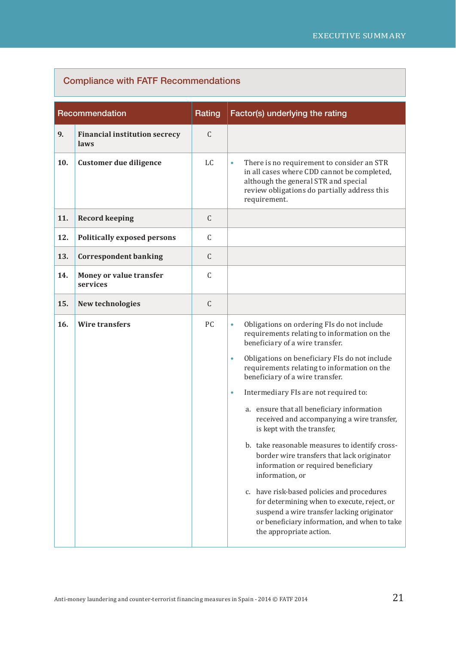| Recommendation |                                              | Rating       | Factor(s) underlying the rating                                                                                                                                                                                                                                                                                                                                                                                                                                                                                                                                                                                                                                                                                                                                                                                                                           |
|----------------|----------------------------------------------|--------------|-----------------------------------------------------------------------------------------------------------------------------------------------------------------------------------------------------------------------------------------------------------------------------------------------------------------------------------------------------------------------------------------------------------------------------------------------------------------------------------------------------------------------------------------------------------------------------------------------------------------------------------------------------------------------------------------------------------------------------------------------------------------------------------------------------------------------------------------------------------|
| 9.             | <b>Financial institution secrecy</b><br>laws | $\mathsf{C}$ |                                                                                                                                                                                                                                                                                                                                                                                                                                                                                                                                                                                                                                                                                                                                                                                                                                                           |
| 10.            | Customer due diligence                       | LC.          | There is no requirement to consider an STR<br>$\bullet$<br>in all cases where CDD cannot be completed,<br>although the general STR and special<br>review obligations do partially address this<br>requirement.                                                                                                                                                                                                                                                                                                                                                                                                                                                                                                                                                                                                                                            |
| 11.            | <b>Record keeping</b>                        | $\mathsf C$  |                                                                                                                                                                                                                                                                                                                                                                                                                                                                                                                                                                                                                                                                                                                                                                                                                                                           |
| 12.            | <b>Politically exposed persons</b>           | $\mathsf C$  |                                                                                                                                                                                                                                                                                                                                                                                                                                                                                                                                                                                                                                                                                                                                                                                                                                                           |
| 13.            | <b>Correspondent banking</b>                 | $\mathsf{C}$ |                                                                                                                                                                                                                                                                                                                                                                                                                                                                                                                                                                                                                                                                                                                                                                                                                                                           |
| 14.            | Money or value transfer<br>services          | $\mathsf C$  |                                                                                                                                                                                                                                                                                                                                                                                                                                                                                                                                                                                                                                                                                                                                                                                                                                                           |
| 15.            | New technologies                             | $\mathsf C$  |                                                                                                                                                                                                                                                                                                                                                                                                                                                                                                                                                                                                                                                                                                                                                                                                                                                           |
| 16.            | <b>Wire transfers</b>                        | PC           | Obligations on ordering FIs do not include<br>$\bullet$<br>requirements relating to information on the<br>beneficiary of a wire transfer.<br>Obligations on beneficiary FIs do not include<br>$\bullet$<br>requirements relating to information on the<br>beneficiary of a wire transfer.<br>Intermediary FIs are not required to:<br>$\bullet$<br>a. ensure that all beneficiary information<br>received and accompanying a wire transfer,<br>is kept with the transfer,<br>b. take reasonable measures to identify cross-<br>border wire transfers that lack originator<br>information or required beneficiary<br>information, or<br>c. have risk-based policies and procedures<br>for determining when to execute, reject, or<br>suspend a wire transfer lacking originator<br>or beneficiary information, and when to take<br>the appropriate action. |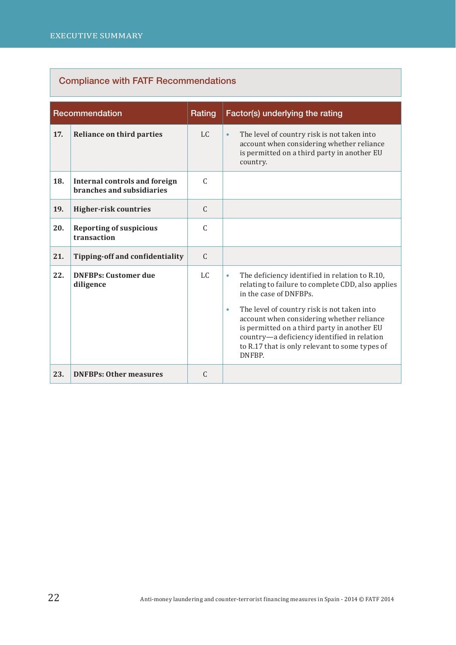| Recommendation |                                                                   | Rating        | Factor(s) underlying the rating                                                                                                                                                                                                                                                                                                                                                                               |
|----------------|-------------------------------------------------------------------|---------------|---------------------------------------------------------------------------------------------------------------------------------------------------------------------------------------------------------------------------------------------------------------------------------------------------------------------------------------------------------------------------------------------------------------|
| 17.            | <b>Reliance on third parties</b>                                  | $L_{\rm C}$   | The level of country risk is not taken into<br>$\bullet$<br>account when considering whether reliance<br>is permitted on a third party in another EU<br>country.                                                                                                                                                                                                                                              |
| 18.            | <b>Internal controls and foreign</b><br>branches and subsidiaries | $\mathcal{C}$ |                                                                                                                                                                                                                                                                                                                                                                                                               |
| 19.            | <b>Higher-risk countries</b>                                      | $\mathsf{C}$  |                                                                                                                                                                                                                                                                                                                                                                                                               |
| 20.            | <b>Reporting of suspicious</b><br>transaction                     | C             |                                                                                                                                                                                                                                                                                                                                                                                                               |
| 21.            | Tipping-off and confidentiality                                   | $\mathsf{C}$  |                                                                                                                                                                                                                                                                                                                                                                                                               |
| 22.            | <b>DNFBPs: Customer due</b><br>diligence                          | $L_{\rm C}$   | The deficiency identified in relation to R.10,<br>$\bullet$<br>relating to failure to complete CDD, also applies<br>in the case of DNFBPs.<br>The level of country risk is not taken into<br>$\bullet$<br>account when considering whether reliance<br>is permitted on a third party in another EU<br>country-a deficiency identified in relation<br>to R.17 that is only relevant to some types of<br>DNFBP. |
| 23.            | <b>DNFBPs: Other measures</b>                                     | $\mathsf{C}$  |                                                                                                                                                                                                                                                                                                                                                                                                               |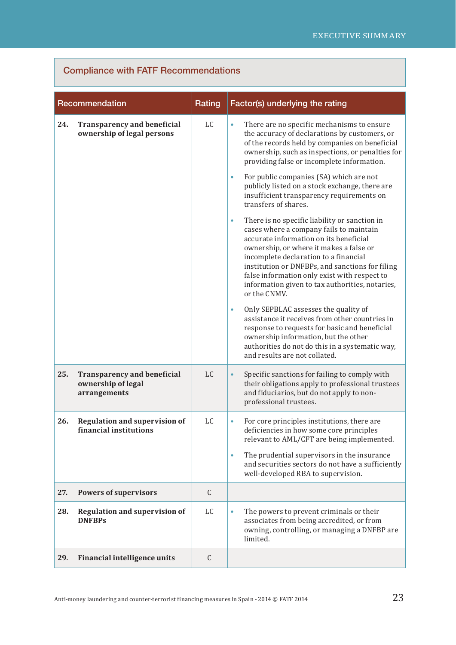| Recommendation |                                                                          | Rating | Factor(s) underlying the rating                                                                                                                                                                                                                                                                                                                                                                                                                                                                                                                                                                                                                                                                                                                                                                                                                                                                                                                                                                                                                                                                                              |
|----------------|--------------------------------------------------------------------------|--------|------------------------------------------------------------------------------------------------------------------------------------------------------------------------------------------------------------------------------------------------------------------------------------------------------------------------------------------------------------------------------------------------------------------------------------------------------------------------------------------------------------------------------------------------------------------------------------------------------------------------------------------------------------------------------------------------------------------------------------------------------------------------------------------------------------------------------------------------------------------------------------------------------------------------------------------------------------------------------------------------------------------------------------------------------------------------------------------------------------------------------|
| 24.            | <b>Transparency and beneficial</b><br>ownership of legal persons         | LC     | There are no specific mechanisms to ensure<br>۰<br>the accuracy of declarations by customers, or<br>of the records held by companies on beneficial<br>ownership, such as inspections, or penalties for<br>providing false or incomplete information.<br>For public companies (SA) which are not<br>$\bullet$<br>publicly listed on a stock exchange, there are<br>insufficient transparency requirements on<br>transfers of shares.<br>There is no specific liability or sanction in<br>۰<br>cases where a company fails to maintain<br>accurate information on its beneficial<br>ownership, or where it makes a false or<br>incomplete declaration to a financial<br>institution or DNFBPs, and sanctions for filing<br>false information only exist with respect to<br>information given to tax authorities, notaries,<br>or the CNMV.<br>Only SEPBLAC assesses the quality of<br>$\bullet$<br>assistance it receives from other countries in<br>response to requests for basic and beneficial<br>ownership information, but the other<br>authorities do not do this in a systematic way,<br>and results are not collated. |
| 25.            | <b>Transparency and beneficial</b><br>ownership of legal<br>arrangements | LC     | Specific sanctions for failing to comply with<br>$\bullet$<br>their obligations apply to professional trustees<br>and fiduciarios, but do not apply to non-<br>professional trustees.                                                                                                                                                                                                                                                                                                                                                                                                                                                                                                                                                                                                                                                                                                                                                                                                                                                                                                                                        |
| 26.            | <b>Regulation and supervision of</b><br>financial institutions           | LC     | For core principles institutions, there are<br>۰<br>deficiencies in how some core principles<br>relevant to AML/CFT are being implemented.<br>The prudential supervisors in the insurance<br>۰<br>and securities sectors do not have a sufficiently<br>well-developed RBA to supervision.                                                                                                                                                                                                                                                                                                                                                                                                                                                                                                                                                                                                                                                                                                                                                                                                                                    |
| 27.            | <b>Powers of supervisors</b>                                             | C      |                                                                                                                                                                                                                                                                                                                                                                                                                                                                                                                                                                                                                                                                                                                                                                                                                                                                                                                                                                                                                                                                                                                              |
| 28.            | <b>Regulation and supervision of</b><br><b>DNFBPs</b>                    | LC     | The powers to prevent criminals or their<br>۰<br>associates from being accredited, or from<br>owning, controlling, or managing a DNFBP are<br>limited.                                                                                                                                                                                                                                                                                                                                                                                                                                                                                                                                                                                                                                                                                                                                                                                                                                                                                                                                                                       |
| 29.            | Financial intelligence units                                             | C      |                                                                                                                                                                                                                                                                                                                                                                                                                                                                                                                                                                                                                                                                                                                                                                                                                                                                                                                                                                                                                                                                                                                              |